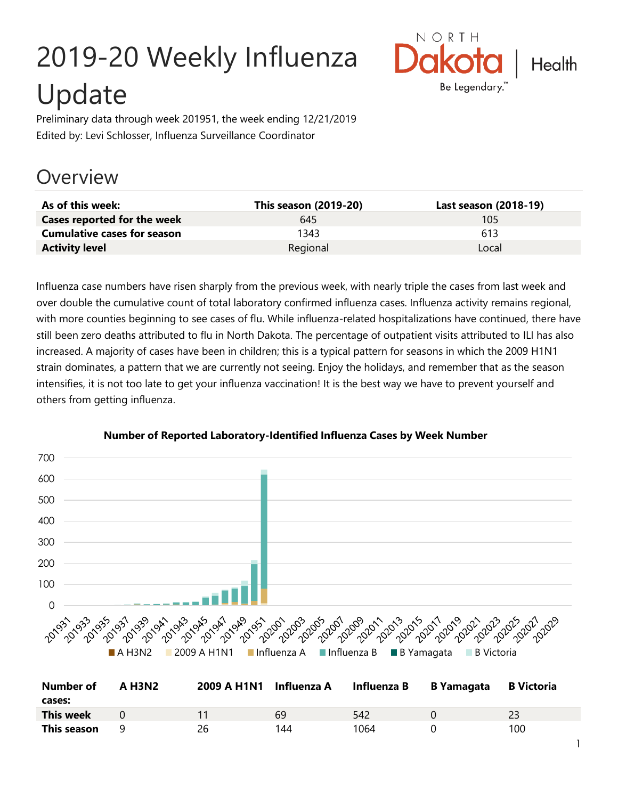# 2019-20 Weekly Influenza Update



Preliminary data through week 201951, the week ending 12/21/2019 Edited by: Levi Schlosser, Influenza Surveillance Coordinator

## **Overview**

| As of this week:                   | This season (2019-20) | Last season (2018-19) |
|------------------------------------|-----------------------|-----------------------|
| Cases reported for the week        | 645                   | 105                   |
| <b>Cumulative cases for season</b> | 1343                  | 613                   |
| <b>Activity level</b>              | Regional              | Local                 |

Influenza case numbers have risen sharply from the previous week, with nearly triple the cases from last week and over double the cumulative count of total laboratory confirmed influenza cases. Influenza activity remains regional, with more counties beginning to see cases of flu. While influenza-related hospitalizations have continued, there have still been zero deaths attributed to flu in North Dakota. The percentage of outpatient visits attributed to ILI has also increased. A majority of cases have been in children; this is a typical pattern for seasons in which the 2009 H1N1 strain dominates, a pattern that we are currently not seeing. Enjoy the holidays, and remember that as the season intensifies, it is not too late to get your influenza vaccination! It is the best way we have to prevent yourself and others from getting influenza.



#### **Number of Reported Laboratory-Identified Influenza Cases by Week Number**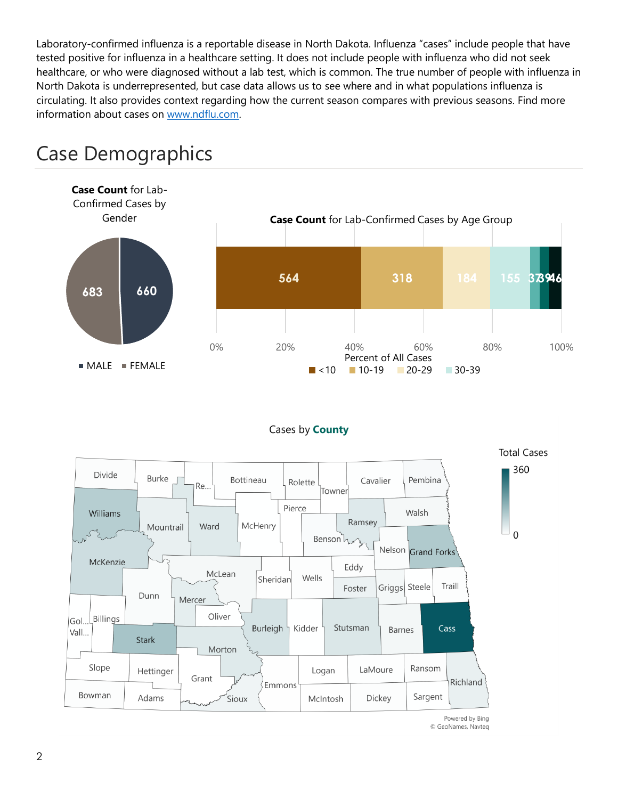Laboratory-confirmed influenza is a reportable disease in North Dakota. Influenza "cases" include people that have tested positive for influenza in a healthcare setting. It does not include people with influenza who did not seek healthcare, or who were diagnosed without a lab test, which is common. The true number of people with influenza in North Dakota is underrepresented, but case data allows us to see where and in what populations influenza is circulating. It also provides context regarding how the current season compares with previous seasons. Find more information about cases on [www.ndflu.com.](file://///nd.gov/doh/DOH-DATA/MSS/DC/PROGRAM/IMMUNE/Immunize/Influenza/Inf18-19/Surveillance/Weekly%20Summaries/www.ndflu.com)



## Case Demographics

#### Cases by **County**



© GeoNames, Navteq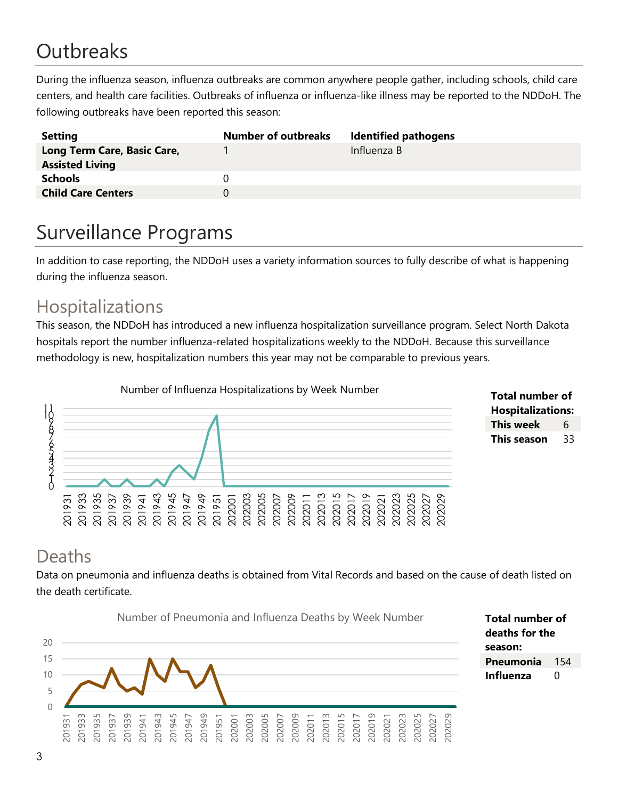# **Outbreaks**

During the influenza season, influenza outbreaks are common anywhere people gather, including schools, child care centers, and health care facilities. Outbreaks of influenza or influenza-like illness may be reported to the NDDoH. The following outbreaks have been reported this season:

| <b>Setting</b>                                        | <b>Number of outbreaks</b> | <b>Identified pathogens</b> |
|-------------------------------------------------------|----------------------------|-----------------------------|
| Long Term Care, Basic Care,<br><b>Assisted Living</b> |                            | Influenza B                 |
| <b>Schools</b>                                        |                            |                             |
| <b>Child Care Centers</b>                             |                            |                             |

## Surveillance Programs

In addition to case reporting, the NDDoH uses a variety information sources to fully describe of what is happening during the influenza season.

#### Hospitalizations

This season, the NDDoH has introduced a new influenza hospitalization surveillance program. Select North Dakota hospitals report the number influenza-related hospitalizations weekly to the NDDoH. Because this surveillance methodology is new, hospitalization numbers this year may not be comparable to previous years.





#### Deaths

Data on pneumonia and influenza deaths is obtained from Vital Records and based on the cause of death listed on the death certificate.



**Total number of deaths for the season: Pneumonia** 154 **Influenza** 0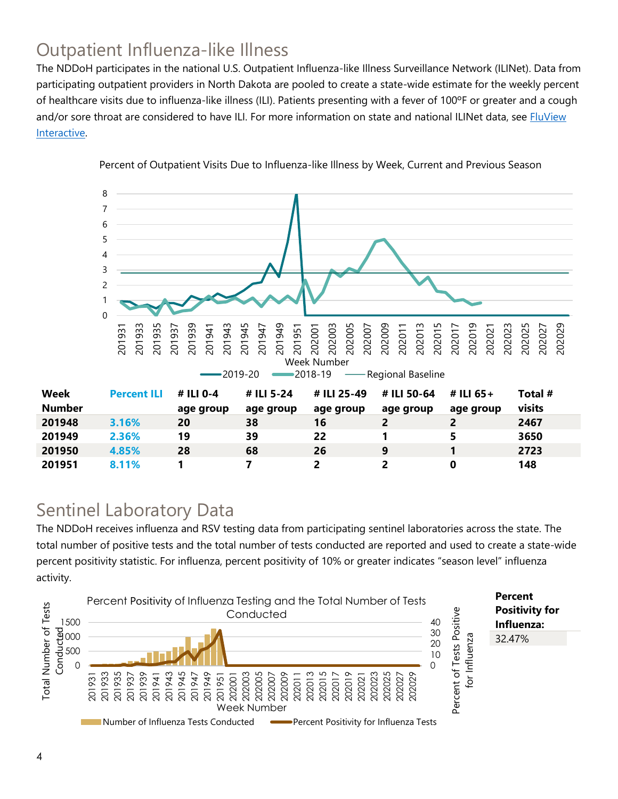## Outpatient Influenza-like Illness

The NDDoH participates in the national U.S. Outpatient Influenza-like Illness Surveillance Network (ILINet). Data from participating outpatient providers in North Dakota are pooled to create a state-wide estimate for the weekly percent of healthcare visits due to influenza-like illness (ILI). Patients presenting with a fever of 100ºF or greater and a cough and/or sore throat are considered to have ILI. For more information on state and national ILINet data, see **FluView** [Interactive.](https://gis.cdc.gov/grasp/fluview/fluportaldashboard.html)



Percent of Outpatient Visits Due to Influenza-like Illness by Week, Current and Previous Season

#### Sentinel Laboratory Data

The NDDoH receives influenza and RSV testing data from participating sentinel laboratories across the state. The total number of positive tests and the total number of tests conducted are reported and used to create a state-wide percent positivity statistic. For influenza, percent positivity of 10% or greater indicates "season level" influenza activity.

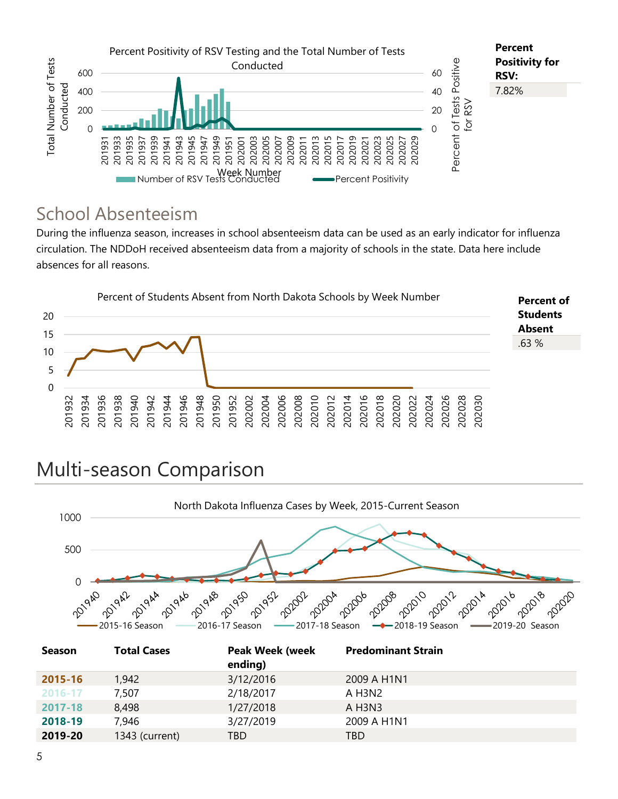

#### School Absenteeism

During the influenza season, increases in school absenteeism data can be used as an early indicator for influenza circulation. The NDDoH received absenteeism data from a majority of schools in the state. Data here include absences for all reasons.



## Multi-season Comparison